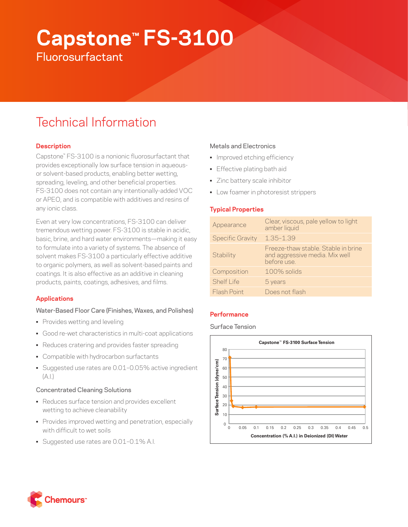# **Capstone™ FS-3100**

**Fluorosurfactant** 

# Technical Information

# **Description**

Capstone™ FS-3100 is a nonionic fluorosurfactant that provides exceptionally low surface tension in aqueousor solvent-based products, enabling better wetting, spreading, leveling, and other beneficial properties. FS-3100 does not contain any intentionally-added VOC or APEO, and is compatible with additives and resins of any ionic class.

Even at very low concentrations, FS-3100 can deliver tremendous wetting power. FS-3100 is stable in acidic, basic, brine, and hard water environments—making it easy to formulate into a variety of systems. The absence of solvent makes FS-3100 a particularly effective additive to organic polymers, as well as solvent-based paints and coatings. It is also effective as an additive in cleaning products, paints, coatings, adhesives, and films.

# **Applications**

# Water-Based Floor Care (Finishes, Waxes, and Polishes)

- Provides wetting and leveling
- Good re-wet characteristics in multi-coat applications
- Reduces cratering and provides faster spreading
- Compatible with hydrocarbon surfactants
- Suggested use rates are 0.01–0.05% active ingredient  $(A.|.)$

# Concentrated Cleaning Solutions

- Reduces surface tension and provides excellent wetting to achieve cleanability
- Provides improved wetting and penetration, especially with difficult to wet soils
- Suggested use rates are 0.01-0.1% A.I.

# Metals and Electronics

- Improved etching efficiency
- Effective plating bath aid
- Zinc battery scale inhibitor
- Low foamer in photoresist strippers

# **Typical Properties**

| Appearance              | Clear, viscous, pale yellow to light<br>amber liquid                                 |
|-------------------------|--------------------------------------------------------------------------------------|
| <b>Specific Gravity</b> | $1.35 - 1.39$                                                                        |
| Stability               | Freeze-thaw stable. Stable in brine<br>and aggressive media. Mix well<br>before use. |
| Composition             | $100\%$ solids                                                                       |
| Shelf I ife             | 5 years                                                                              |
| Flash Point             | Does not flash                                                                       |

# **Performance**

Surface Tension